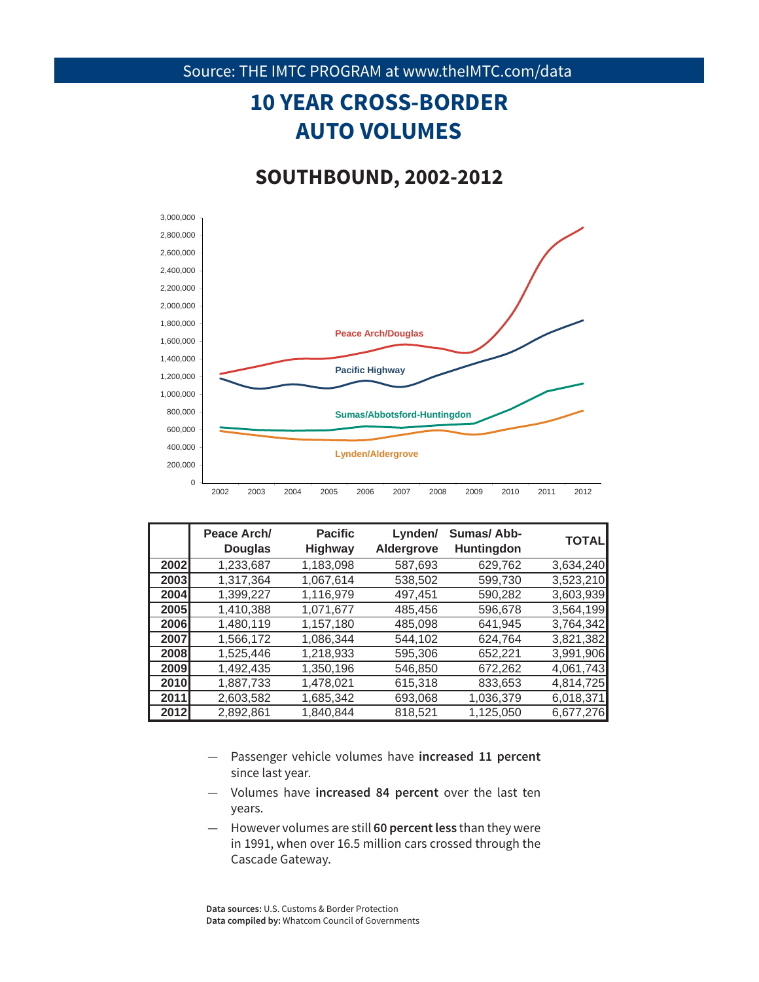#### Source: THE IMTC PROGRAM at www.theIMTC.com/data

# **10 YEAR CROSS-BORDER AUTO VOLUMES**

### **SOUTHBOUND, 2002-2012**



|      | Peace Arch/<br><b>Douglas</b> | <b>Pacific</b><br><b>Highway</b> | Lynden/<br>Aldergrove | Sumas/Abb-<br>Huntingdon | <b>TOTAL</b> |
|------|-------------------------------|----------------------------------|-----------------------|--------------------------|--------------|
| 2002 | 1,233,687                     | 1,183,098                        | 587,693               | 629,762                  | 3,634,240    |
| 2003 | 1,317,364                     | 1,067,614                        | 538,502               | 599,730                  | 3,523,210    |
| 2004 | 1,399,227                     | 1,116,979                        | 497.451               | 590,282                  | 3,603,939    |
| 2005 | 1,410,388                     | 1,071,677                        | 485,456               | 596,678                  | 3,564,199    |
| 2006 | 1,480,119                     | 1,157,180                        | 485,098               | 641,945                  | 3,764,342    |
| 2007 | 1,566,172                     | 1,086,344                        | 544.102               | 624.764                  | 3,821,382    |
| 2008 | 1,525,446                     | 1,218,933                        | 595,306               | 652,221                  | 3,991,906    |
| 2009 | 1,492,435                     | 1,350,196                        | 546,850               | 672,262                  | 4,061,743    |
| 2010 | 1,887,733                     | 1,478,021                        | 615,318               | 833,653                  | 4,814,725    |
| 2011 | 2,603,582                     | 1.685.342                        | 693,068               | 1,036,379                | 6,018,371    |
| 2012 | 2,892,861                     | 1,840,844                        | 818,521               | 1,125,050                | 6,677,276    |

- Passenger vehicle volumes have **increased 11 percent** since last year.
- Volumes have **increased 84 percent** over the last ten years.
- 5 However volumes are still **60 percent less** than they were in 1991, when over 16.5 million cars crossed through the Cascade Gateway.